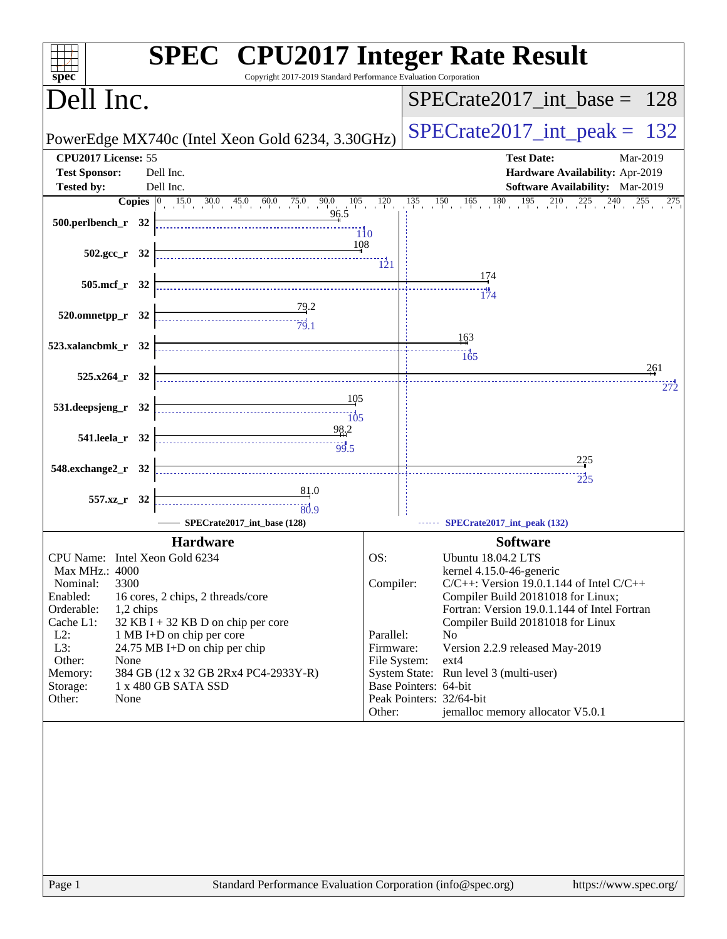| spec <sup>®</sup>                                                                                                                                                                                                                                                                                                                                                                                                                                                                              | <b>SPEC<sup>®</sup></b> CPU2017 Integer Rate Result<br>Copyright 2017-2019 Standard Performance Evaluation Corporation                                            |
|------------------------------------------------------------------------------------------------------------------------------------------------------------------------------------------------------------------------------------------------------------------------------------------------------------------------------------------------------------------------------------------------------------------------------------------------------------------------------------------------|-------------------------------------------------------------------------------------------------------------------------------------------------------------------|
| Dell Inc.                                                                                                                                                                                                                                                                                                                                                                                                                                                                                      | $SPECrate2017\_int\_base = 128$                                                                                                                                   |
| PowerEdge MX740c (Intel Xeon Gold 6234, 3.30GHz)                                                                                                                                                                                                                                                                                                                                                                                                                                               | $SPECrate2017\_int\_peak = 132$                                                                                                                                   |
| CPU2017 License: 55                                                                                                                                                                                                                                                                                                                                                                                                                                                                            | <b>Test Date:</b><br>Mar-2019                                                                                                                                     |
| <b>Test Sponsor:</b><br>Dell Inc.                                                                                                                                                                                                                                                                                                                                                                                                                                                              | Hardware Availability: Apr-2019                                                                                                                                   |
| <b>Tested by:</b><br>Dell Inc.                                                                                                                                                                                                                                                                                                                                                                                                                                                                 | Software Availability: Mar-2019                                                                                                                                   |
| 96.5                                                                                                                                                                                                                                                                                                                                                                                                                                                                                           | <b>Copies</b> $\begin{bmatrix} 0 & 15.0 & 30.0 & 45.0 & 60.0 & 75.0 & 90.0 & 105 & 120 & 135 & 150 & 165 & 180 & 195 & 210 & 225 & 240 & 255 & 275 \end{bmatrix}$ |
| $500.$ perlbench_r 32                                                                                                                                                                                                                                                                                                                                                                                                                                                                          |                                                                                                                                                                   |
| $502.\text{sec}_r$ 32                                                                                                                                                                                                                                                                                                                                                                                                                                                                          | 108                                                                                                                                                               |
| 505.mcf r 32                                                                                                                                                                                                                                                                                                                                                                                                                                                                                   | 174                                                                                                                                                               |
|                                                                                                                                                                                                                                                                                                                                                                                                                                                                                                | $\frac{1}{174}$                                                                                                                                                   |
| $\frac{79.2}{79.1}$<br>520.omnetpp_r 32                                                                                                                                                                                                                                                                                                                                                                                                                                                        |                                                                                                                                                                   |
|                                                                                                                                                                                                                                                                                                                                                                                                                                                                                                | 163                                                                                                                                                               |
| 523.xalancbmk_r 32                                                                                                                                                                                                                                                                                                                                                                                                                                                                             | $\frac{165}{165}$                                                                                                                                                 |
|                                                                                                                                                                                                                                                                                                                                                                                                                                                                                                | 261                                                                                                                                                               |
| $525.x264$ $r$ 32                                                                                                                                                                                                                                                                                                                                                                                                                                                                              | 272                                                                                                                                                               |
| 105<br>531.deepsjeng_r 32<br>$\begin{array}{c c c c c} \hline \hline \multicolumn{3}{c }{\textbf{1}} & \multicolumn{3}{c }{\textbf{1}} \\ \hline \multicolumn{3}{c }{\textbf{1}} & \multicolumn{3}{c }{\textbf{1}} \\ \hline \multicolumn{3}{c }{\textbf{1}} & \multicolumn{3}{c }{\textbf{1}} \\ \hline \multicolumn{3}{c }{\textbf{1}} & \multicolumn{3}{c }{\textbf{1}} \\ \hline \multicolumn{3}{c }{\textbf{1}} & \multicolumn{3}{c }{\textbf{1}} \\ \hline \multicolumn{3}{c }{\textbf{$ |                                                                                                                                                                   |
| 98.2                                                                                                                                                                                                                                                                                                                                                                                                                                                                                           |                                                                                                                                                                   |
| 541.leela r 32                                                                                                                                                                                                                                                                                                                                                                                                                                                                                 |                                                                                                                                                                   |
| 548.exchange2_r 32                                                                                                                                                                                                                                                                                                                                                                                                                                                                             | 225                                                                                                                                                               |
|                                                                                                                                                                                                                                                                                                                                                                                                                                                                                                | $\frac{1}{225}$                                                                                                                                                   |
| 81.0<br>557.xz_r 32<br>$\begin{array}{c c c c} \hline \textbf{1} & \textbf{1} & \textbf{1} & \textbf{1} \\ \hline \textbf{2} & \textbf{3} & \textbf{1} & \textbf{1} \\ \hline \textbf{3} & \textbf{1} & \textbf{1} & \textbf{1} \\ \hline \end{array}$                                                                                                                                                                                                                                         |                                                                                                                                                                   |
| SPECrate2017_int_base (128)                                                                                                                                                                                                                                                                                                                                                                                                                                                                    | SPECrate2017_int_peak (132)                                                                                                                                       |
|                                                                                                                                                                                                                                                                                                                                                                                                                                                                                                |                                                                                                                                                                   |
| <b>Hardware</b>                                                                                                                                                                                                                                                                                                                                                                                                                                                                                | <b>Software</b>                                                                                                                                                   |
| CPU Name: Intel Xeon Gold 6234<br>Max MHz.: 4000                                                                                                                                                                                                                                                                                                                                                                                                                                               | OS:<br><b>Ubuntu 18.04.2 LTS</b><br>kernel 4.15.0-46-generic                                                                                                      |
| 3300<br>Nominal:                                                                                                                                                                                                                                                                                                                                                                                                                                                                               | Compiler:<br>$C/C++$ : Version 19.0.1.144 of Intel $C/C++$                                                                                                        |
| Enabled:<br>16 cores, 2 chips, 2 threads/core                                                                                                                                                                                                                                                                                                                                                                                                                                                  | Compiler Build 20181018 for Linux;                                                                                                                                |
| Orderable:<br>1,2 chips                                                                                                                                                                                                                                                                                                                                                                                                                                                                        | Fortran: Version 19.0.1.144 of Intel Fortran                                                                                                                      |
| Cache L1:<br>$32$ KB I + 32 KB D on chip per core<br>$L2$ :<br>1 MB I+D on chip per core                                                                                                                                                                                                                                                                                                                                                                                                       | Compiler Build 20181018 for Linux<br>Parallel:<br>N <sub>0</sub>                                                                                                  |
| L3:<br>24.75 MB I+D on chip per chip                                                                                                                                                                                                                                                                                                                                                                                                                                                           | Firmware:<br>Version 2.2.9 released May-2019                                                                                                                      |
| Other:<br>None                                                                                                                                                                                                                                                                                                                                                                                                                                                                                 | File System:<br>$ext{4}$                                                                                                                                          |
| 384 GB (12 x 32 GB 2Rx4 PC4-2933Y-R)<br>Memory:                                                                                                                                                                                                                                                                                                                                                                                                                                                | System State: Run level 3 (multi-user)<br>Base Pointers: 64-bit                                                                                                   |
| 1 x 480 GB SATA SSD<br>Storage:<br>Other:<br>None                                                                                                                                                                                                                                                                                                                                                                                                                                              | Peak Pointers: 32/64-bit                                                                                                                                          |
|                                                                                                                                                                                                                                                                                                                                                                                                                                                                                                | jemalloc memory allocator V5.0.1<br>Other:                                                                                                                        |
|                                                                                                                                                                                                                                                                                                                                                                                                                                                                                                |                                                                                                                                                                   |
| Page 1                                                                                                                                                                                                                                                                                                                                                                                                                                                                                         | Standard Performance Evaluation Corporation (info@spec.org)<br>https://www.spec.org/                                                                              |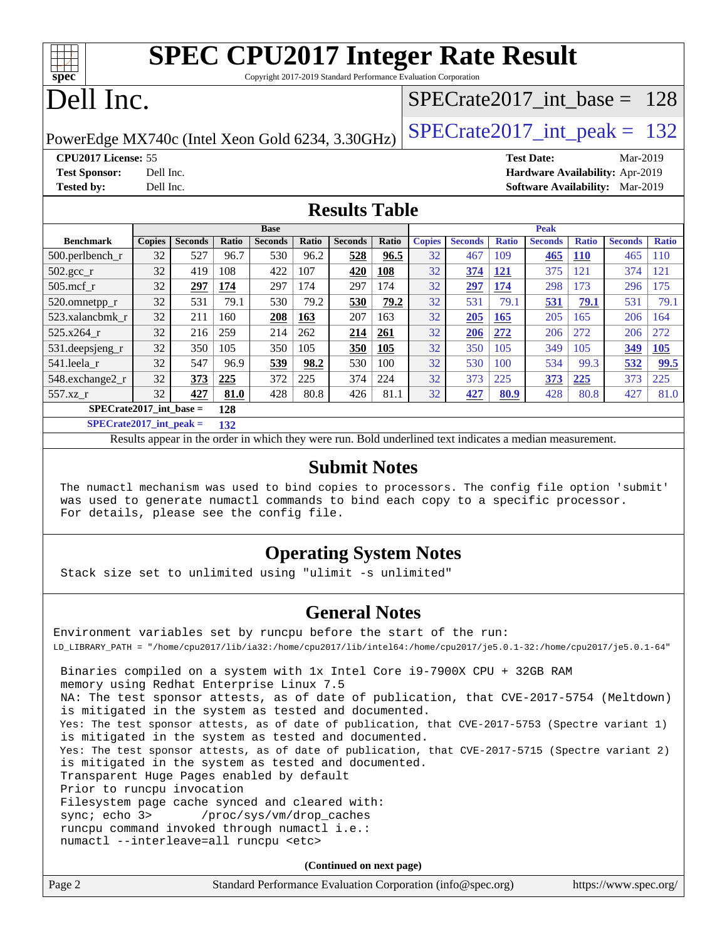| <b>SPEC CPU2017 Integer Rate Result</b>                       |  |
|---------------------------------------------------------------|--|
| Convuisht 2017-2010 Rtondaud Darformanae Evelyption Companion |  |

Copyright 2017-2019 Standard Performance Evaluation Corporation

## Dell Inc.

**[spec](http://www.spec.org/)**

### [SPECrate2017\\_int\\_base =](http://www.spec.org/auto/cpu2017/Docs/result-fields.html#SPECrate2017intbase) 128

PowerEdge MX740c (Intel Xeon Gold 6234, 3.30GHz)  $\left|$  [SPECrate2017\\_int\\_peak =](http://www.spec.org/auto/cpu2017/Docs/result-fields.html#SPECrate2017intpeak) 132

**[CPU2017 License:](http://www.spec.org/auto/cpu2017/Docs/result-fields.html#CPU2017License)** 55 **[Test Date:](http://www.spec.org/auto/cpu2017/Docs/result-fields.html#TestDate)** Mar-2019 **[Test Sponsor:](http://www.spec.org/auto/cpu2017/Docs/result-fields.html#TestSponsor)** Dell Inc. **[Hardware Availability:](http://www.spec.org/auto/cpu2017/Docs/result-fields.html#HardwareAvailability)** Apr-2019 **[Tested by:](http://www.spec.org/auto/cpu2017/Docs/result-fields.html#Testedby)** Dell Inc. **[Software Availability:](http://www.spec.org/auto/cpu2017/Docs/result-fields.html#SoftwareAvailability)** Mar-2019

### **[Results Table](http://www.spec.org/auto/cpu2017/Docs/result-fields.html#ResultsTable)**

|                           | <b>Base</b>   |                |       |                | <b>Peak</b> |                |       |               |                |              |                |              |                |              |
|---------------------------|---------------|----------------|-------|----------------|-------------|----------------|-------|---------------|----------------|--------------|----------------|--------------|----------------|--------------|
| <b>Benchmark</b>          | <b>Copies</b> | <b>Seconds</b> | Ratio | <b>Seconds</b> | Ratio       | <b>Seconds</b> | Ratio | <b>Copies</b> | <b>Seconds</b> | <b>Ratio</b> | <b>Seconds</b> | <b>Ratio</b> | <b>Seconds</b> | <b>Ratio</b> |
| 500.perlbench r           | 32            | 527            | 96.7  | 530            | 96.2        | 528            | 96.5  | 32            | 467            | 109          | 465            | <b>110</b>   | 465            | 110          |
| 502.gcc_r                 | 32            | 419            | 108   | 422            | 107         | 420            | 108   | 32            | 374            | <b>121</b>   | 375            | 121          | 374            | 121          |
| $505$ .mcf r              | 32            | 297            | 174   | 297            | 174         | 297            | 174   | 32            | 297            | 174          | 298            | 173          | 296            | 175          |
| 520.omnetpp_r             | 32            | 531            | 79.1  | 530            | 79.2        | 530            | 79.2  | 32            | 531            | 79.1         | 531            | 79.1         | 531            | 79.1         |
| 523.xalancbmk r           | 32            | 211            | 160   | 208            | 163         | 207            | 163   | 32            | 205            | 165          | 205            | 165          | 206            | 164          |
| 525.x264 r                | 32            | 216            | 259   | 214            | 262         | 214            | 261   | 32            | 206            | 272          | 206            | 272          | 206            | 272          |
| 531.deepsjeng_r           | 32            | 350            | 105   | 350            | 105         | 350            | 105   | 32            | 350            | 105          | 349            | 105          | 349            | 105          |
| 541.leela r               | 32            | 547            | 96.9  | 539            | 98.2        | 530            | 100   | 32            | 530            | 100          | 534            | 99.3         | 532            | 99.5         |
| 548.exchange2_r           | 32            | 373            | 225   | 372            | 225         | 374            | 224   | 32            | 373            | 225          | 373            | 225          | 373            | 225          |
| 557.xz r                  | 32            | 427            | 81.0  | 428            | 80.8        | 426            | 81.1  | 32            | 427            | 80.9         | 428            | 80.8         | 427            | 81.0         |
| $SPECrate2017$ int base = |               |                | 128   |                |             |                |       |               |                |              |                |              |                |              |

**[SPECrate2017\\_int\\_peak =](http://www.spec.org/auto/cpu2017/Docs/result-fields.html#SPECrate2017intpeak) 132**

Results appear in the [order in which they were run.](http://www.spec.org/auto/cpu2017/Docs/result-fields.html#RunOrder) Bold underlined text [indicates a median measurement.](http://www.spec.org/auto/cpu2017/Docs/result-fields.html#Median)

#### **[Submit Notes](http://www.spec.org/auto/cpu2017/Docs/result-fields.html#SubmitNotes)**

 The numactl mechanism was used to bind copies to processors. The config file option 'submit' was used to generate numactl commands to bind each copy to a specific processor. For details, please see the config file.

### **[Operating System Notes](http://www.spec.org/auto/cpu2017/Docs/result-fields.html#OperatingSystemNotes)**

Stack size set to unlimited using "ulimit -s unlimited"

### **[General Notes](http://www.spec.org/auto/cpu2017/Docs/result-fields.html#GeneralNotes)**

Environment variables set by runcpu before the start of the run: LD\_LIBRARY\_PATH = "/home/cpu2017/lib/ia32:/home/cpu2017/lib/intel64:/home/cpu2017/je5.0.1-32:/home/cpu2017/je5.0.1-64" Binaries compiled on a system with 1x Intel Core i9-7900X CPU + 32GB RAM memory using Redhat Enterprise Linux 7.5 NA: The test sponsor attests, as of date of publication, that CVE-2017-5754 (Meltdown) is mitigated in the system as tested and documented. Yes: The test sponsor attests, as of date of publication, that CVE-2017-5753 (Spectre variant 1) is mitigated in the system as tested and documented. Yes: The test sponsor attests, as of date of publication, that CVE-2017-5715 (Spectre variant 2) is mitigated in the system as tested and documented. Transparent Huge Pages enabled by default Prior to runcpu invocation Filesystem page cache synced and cleared with: sync; echo 3> /proc/sys/vm/drop\_caches runcpu command invoked through numactl i.e.: numactl --interleave=all runcpu <etc>

**(Continued on next page)**

| Page 2 | Standard Performance Evaluation Corporation (info@spec.org) | https://www.spec.org/ |
|--------|-------------------------------------------------------------|-----------------------|
|--------|-------------------------------------------------------------|-----------------------|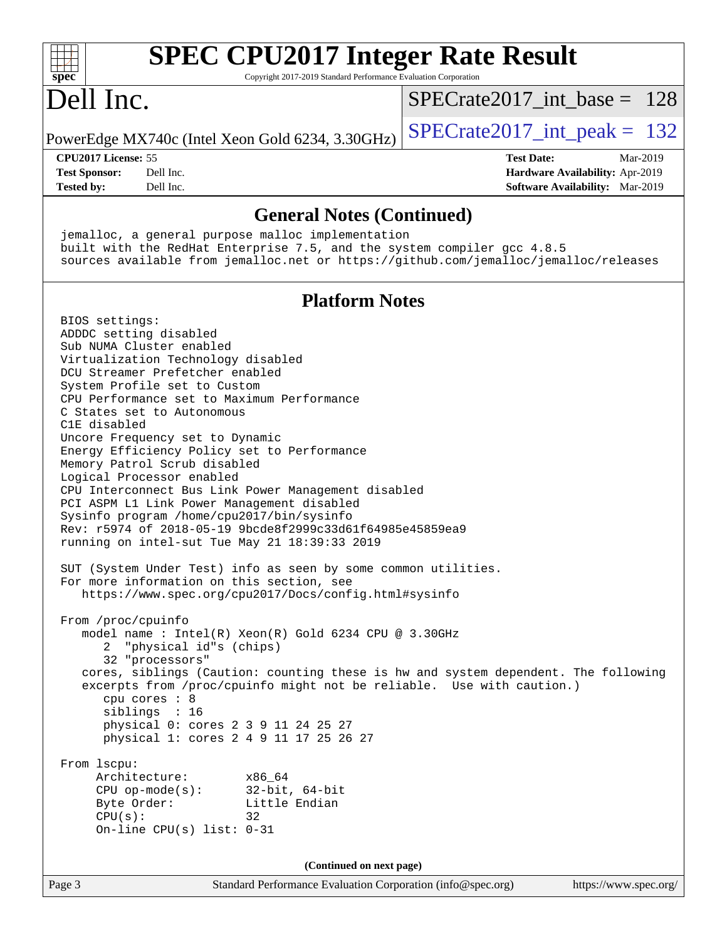| <b>SPEC CPU2017 Integer Rate Result</b><br>spec <sup>®</sup><br>Copyright 2017-2019 Standard Performance Evaluation Corporation                                                                                                                                                                                                                                                                                                                                                                                                                                                                                                                                                                                                                                                                                                                                                                                                                                                                                                                                                                                                                                                                                                                                                                                                                                                                                                              |                                        |
|----------------------------------------------------------------------------------------------------------------------------------------------------------------------------------------------------------------------------------------------------------------------------------------------------------------------------------------------------------------------------------------------------------------------------------------------------------------------------------------------------------------------------------------------------------------------------------------------------------------------------------------------------------------------------------------------------------------------------------------------------------------------------------------------------------------------------------------------------------------------------------------------------------------------------------------------------------------------------------------------------------------------------------------------------------------------------------------------------------------------------------------------------------------------------------------------------------------------------------------------------------------------------------------------------------------------------------------------------------------------------------------------------------------------------------------------|----------------------------------------|
| Dell Inc.                                                                                                                                                                                                                                                                                                                                                                                                                                                                                                                                                                                                                                                                                                                                                                                                                                                                                                                                                                                                                                                                                                                                                                                                                                                                                                                                                                                                                                    | $SPECrate2017\_int\_base = 128$        |
| PowerEdge MX740c (Intel Xeon Gold 6234, 3.30GHz)                                                                                                                                                                                                                                                                                                                                                                                                                                                                                                                                                                                                                                                                                                                                                                                                                                                                                                                                                                                                                                                                                                                                                                                                                                                                                                                                                                                             | $SPECrate2017\_int\_peak = 132$        |
| CPU2017 License: 55                                                                                                                                                                                                                                                                                                                                                                                                                                                                                                                                                                                                                                                                                                                                                                                                                                                                                                                                                                                                                                                                                                                                                                                                                                                                                                                                                                                                                          | <b>Test Date:</b><br>Mar-2019          |
| <b>Test Sponsor:</b><br>Dell Inc.                                                                                                                                                                                                                                                                                                                                                                                                                                                                                                                                                                                                                                                                                                                                                                                                                                                                                                                                                                                                                                                                                                                                                                                                                                                                                                                                                                                                            | Hardware Availability: Apr-2019        |
| <b>Tested by:</b><br>Dell Inc.                                                                                                                                                                                                                                                                                                                                                                                                                                                                                                                                                                                                                                                                                                                                                                                                                                                                                                                                                                                                                                                                                                                                                                                                                                                                                                                                                                                                               | <b>Software Availability:</b> Mar-2019 |
| <b>General Notes (Continued)</b>                                                                                                                                                                                                                                                                                                                                                                                                                                                                                                                                                                                                                                                                                                                                                                                                                                                                                                                                                                                                                                                                                                                                                                                                                                                                                                                                                                                                             |                                        |
| jemalloc, a general purpose malloc implementation<br>built with the RedHat Enterprise 7.5, and the system compiler gcc 4.8.5<br>sources available from jemalloc.net or https://github.com/jemalloc/jemalloc/releases                                                                                                                                                                                                                                                                                                                                                                                                                                                                                                                                                                                                                                                                                                                                                                                                                                                                                                                                                                                                                                                                                                                                                                                                                         |                                        |
| <b>Platform Notes</b>                                                                                                                                                                                                                                                                                                                                                                                                                                                                                                                                                                                                                                                                                                                                                                                                                                                                                                                                                                                                                                                                                                                                                                                                                                                                                                                                                                                                                        |                                        |
| BIOS settings:<br>ADDDC setting disabled<br>Sub NUMA Cluster enabled<br>Virtualization Technology disabled<br>DCU Streamer Prefetcher enabled<br>System Profile set to Custom<br>CPU Performance set to Maximum Performance<br>C States set to Autonomous<br>C1E disabled<br>Uncore Frequency set to Dynamic<br>Energy Efficiency Policy set to Performance<br>Memory Patrol Scrub disabled<br>Logical Processor enabled<br>CPU Interconnect Bus Link Power Management disabled<br>PCI ASPM L1 Link Power Management disabled<br>Sysinfo program /home/cpu2017/bin/sysinfo<br>Rev: r5974 of 2018-05-19 9bcde8f2999c33d61f64985e45859ea9<br>running on intel-sut Tue May 21 18:39:33 2019<br>SUT (System Under Test) info as seen by some common utilities.<br>For more information on this section, see<br>https://www.spec.org/cpu2017/Docs/config.html#sysinfo<br>From /proc/cpuinfo<br>model name : Intel(R) Xeon(R) Gold 6234 CPU @ 3.30GHz<br>"physical id"s (chips)<br>32 "processors"<br>cores, siblings (Caution: counting these is hw and system dependent. The following<br>excerpts from /proc/cpuinfo might not be reliable. Use with caution.)<br>cpu cores : 8<br>siblings : 16<br>physical 0: cores 2 3 9 11 24 25 27<br>physical 1: cores 2 4 9 11 17 25 26 27<br>From 1scpu:<br>Architecture:<br>x86 64<br>CPU $op-mode(s):$ 32-bit, 64-bit<br>Byte Order:<br>Little Endian<br>CPU(s):<br>32<br>On-line CPU(s) list: $0-31$ |                                        |
| (Continued on next page)                                                                                                                                                                                                                                                                                                                                                                                                                                                                                                                                                                                                                                                                                                                                                                                                                                                                                                                                                                                                                                                                                                                                                                                                                                                                                                                                                                                                                     |                                        |
| Page 3<br>Standard Performance Evaluation Corporation (info@spec.org)                                                                                                                                                                                                                                                                                                                                                                                                                                                                                                                                                                                                                                                                                                                                                                                                                                                                                                                                                                                                                                                                                                                                                                                                                                                                                                                                                                        | https://www.spec.org/                  |
|                                                                                                                                                                                                                                                                                                                                                                                                                                                                                                                                                                                                                                                                                                                                                                                                                                                                                                                                                                                                                                                                                                                                                                                                                                                                                                                                                                                                                                              |                                        |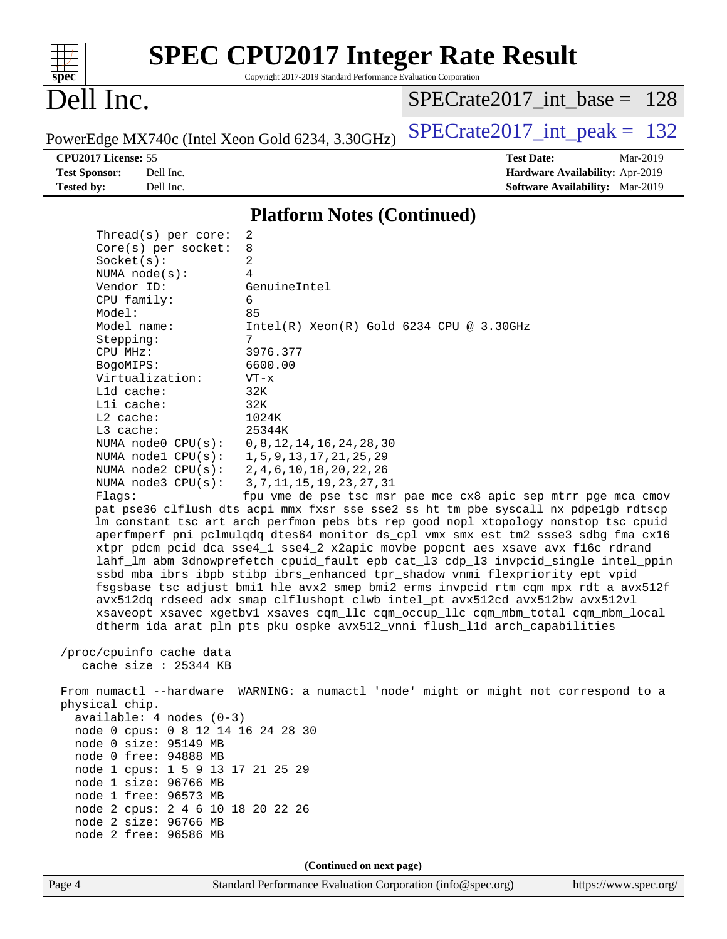|                                                  |                                                                 | <b>SPEC CPU2017 Integer Rate Result</b>                                              |  |  |  |  |  |
|--------------------------------------------------|-----------------------------------------------------------------|--------------------------------------------------------------------------------------|--|--|--|--|--|
| spec                                             | Copyright 2017-2019 Standard Performance Evaluation Corporation |                                                                                      |  |  |  |  |  |
|                                                  |                                                                 |                                                                                      |  |  |  |  |  |
| Dell Inc.                                        |                                                                 | $SPECrate2017\_int\_base = 128$                                                      |  |  |  |  |  |
|                                                  |                                                                 |                                                                                      |  |  |  |  |  |
| PowerEdge MX740c (Intel Xeon Gold 6234, 3.30GHz) |                                                                 | $SPECrate2017\_int\_peak = 132$                                                      |  |  |  |  |  |
| CPU <sub>2017</sub> License: 55                  |                                                                 | <b>Test Date:</b><br>Mar-2019                                                        |  |  |  |  |  |
| <b>Test Sponsor:</b><br>Dell Inc.                |                                                                 | Hardware Availability: Apr-2019                                                      |  |  |  |  |  |
| <b>Tested by:</b><br>Dell Inc.                   |                                                                 | Software Availability: Mar-2019                                                      |  |  |  |  |  |
|                                                  | <b>Platform Notes (Continued)</b>                               |                                                                                      |  |  |  |  |  |
|                                                  |                                                                 |                                                                                      |  |  |  |  |  |
| Thread( $s$ ) per core:                          | 2<br>8                                                          |                                                                                      |  |  |  |  |  |
| $Core(s)$ per socket:<br>Socket(s):              | 2                                                               |                                                                                      |  |  |  |  |  |
| NUMA $node(s):$                                  | 4                                                               |                                                                                      |  |  |  |  |  |
| Vendor ID:                                       | GenuineIntel                                                    |                                                                                      |  |  |  |  |  |
| CPU family:                                      | 6                                                               |                                                                                      |  |  |  |  |  |
| Model:                                           | 85                                                              |                                                                                      |  |  |  |  |  |
| Model name:                                      | $Intel(R)$ Xeon $(R)$ Gold 6234 CPU @ 3.30GHz                   |                                                                                      |  |  |  |  |  |
| Stepping:                                        | 7                                                               |                                                                                      |  |  |  |  |  |
| CPU MHz:                                         | 3976.377                                                        |                                                                                      |  |  |  |  |  |
| BogoMIPS:                                        | 6600.00                                                         |                                                                                      |  |  |  |  |  |
| Virtualization:                                  | $VT - x$                                                        |                                                                                      |  |  |  |  |  |
| L1d cache:                                       | 32K                                                             |                                                                                      |  |  |  |  |  |
| Lli cache:                                       | 32K                                                             |                                                                                      |  |  |  |  |  |
| L2 cache:                                        | 1024K                                                           |                                                                                      |  |  |  |  |  |
| L3 cache:                                        | 25344K                                                          |                                                                                      |  |  |  |  |  |
| NUMA node0 CPU(s):                               | 0, 8, 12, 14, 16, 24, 28, 30                                    |                                                                                      |  |  |  |  |  |
| NUMA nodel CPU(s):<br>NUMA $node2$ $CPU(s):$     | 1, 5, 9, 13, 17, 21, 25, 29<br>2, 4, 6, 10, 18, 20, 22, 26      |                                                                                      |  |  |  |  |  |
| NUMA $node3$ $CPU(s):$                           | 3, 7, 11, 15, 19, 23, 27, 31                                    |                                                                                      |  |  |  |  |  |
| Flagg:                                           | fpu vme de pse tsc msr pae mce cx8 apic sep mtrr pge mca cmov   |                                                                                      |  |  |  |  |  |
|                                                  |                                                                 | pat pse36 clflush dts acpi mmx fxsr sse sse2 ss ht tm pbe syscall nx pdpe1gb rdtscp  |  |  |  |  |  |
|                                                  |                                                                 | lm constant_tsc art arch_perfmon pebs bts rep_good nopl xtopology nonstop_tsc cpuid  |  |  |  |  |  |
|                                                  |                                                                 | aperfmperf pni pclmulqdq dtes64 monitor ds_cpl vmx smx est tm2 ssse3 sdbg fma cx16   |  |  |  |  |  |
|                                                  |                                                                 | xtpr pdcm pcid dca sse4_1 sse4_2 x2apic movbe popcnt aes xsave avx f16c rdrand       |  |  |  |  |  |
|                                                  |                                                                 | lahf_lm abm 3dnowprefetch cpuid_fault epb cat_13 cdp_13 invpcid_single intel_ppin    |  |  |  |  |  |
|                                                  |                                                                 | ssbd mba ibrs ibpb stibp ibrs_enhanced tpr_shadow vnmi flexpriority ept vpid         |  |  |  |  |  |
|                                                  |                                                                 | fsgsbase tsc_adjust bmil hle avx2 smep bmi2 erms invpcid rtm cqm mpx rdt_a avx512f   |  |  |  |  |  |
|                                                  |                                                                 | avx512dq rdseed adx smap clflushopt clwb intel_pt avx512cd avx512bw avx512vl         |  |  |  |  |  |
|                                                  |                                                                 | xsaveopt xsavec xgetbvl xsaves cqm_llc cqm_occup_llc cqm_mbm_total cqm_mbm_local     |  |  |  |  |  |
|                                                  |                                                                 | dtherm ida arat pln pts pku ospke avx512_vnni flush_lld arch_capabilities            |  |  |  |  |  |
| /proc/cpuinfo cache data                         |                                                                 |                                                                                      |  |  |  |  |  |
| cache size : 25344 KB                            |                                                                 |                                                                                      |  |  |  |  |  |
|                                                  |                                                                 |                                                                                      |  |  |  |  |  |
| physical chip.                                   |                                                                 | From numactl --hardware WARNING: a numactl 'node' might or might not correspond to a |  |  |  |  |  |
| $available: 4 nodes (0-3)$                       |                                                                 |                                                                                      |  |  |  |  |  |
| node 0 cpus: 0 8 12 14 16 24 28 30               |                                                                 |                                                                                      |  |  |  |  |  |
| node 0 size: 95149 MB                            |                                                                 |                                                                                      |  |  |  |  |  |
| node 0 free: 94888 MB                            |                                                                 |                                                                                      |  |  |  |  |  |
| node 1 cpus: 1 5 9 13 17 21 25 29                |                                                                 |                                                                                      |  |  |  |  |  |
| node 1 size: 96766 MB                            |                                                                 |                                                                                      |  |  |  |  |  |
| node 1 free: 96573 MB                            |                                                                 |                                                                                      |  |  |  |  |  |
| node 2 cpus: 2 4 6 10 18 20 22 26                |                                                                 |                                                                                      |  |  |  |  |  |
| node 2 size: 96766 MB                            |                                                                 |                                                                                      |  |  |  |  |  |
| node 2 free: 96586 MB                            |                                                                 |                                                                                      |  |  |  |  |  |
|                                                  | (Continued on next page)                                        |                                                                                      |  |  |  |  |  |
|                                                  |                                                                 |                                                                                      |  |  |  |  |  |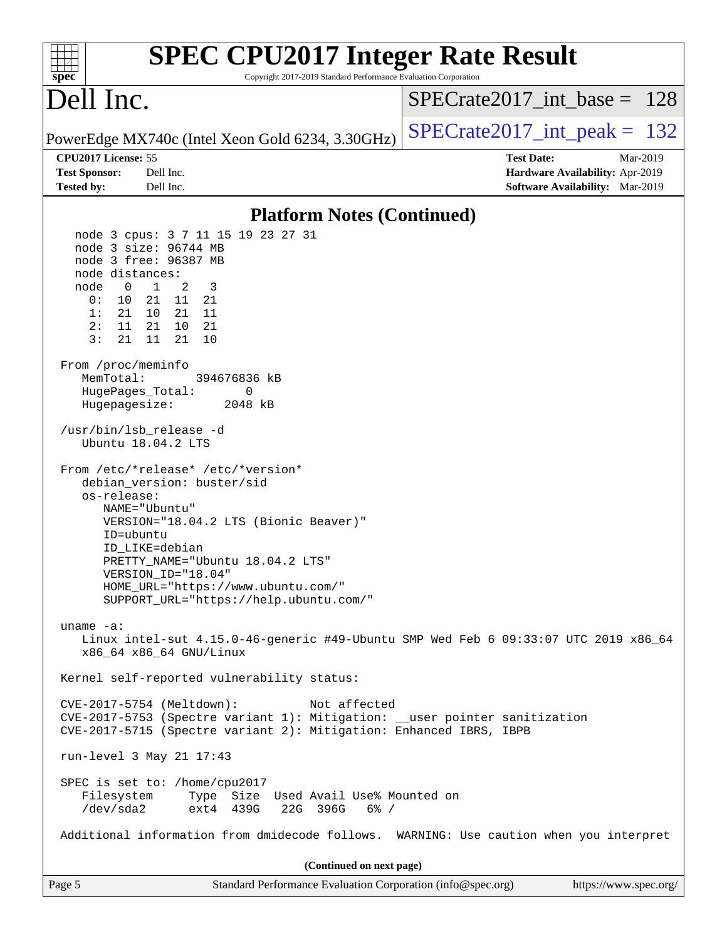| <b>SPEC CPU2017 Integer Rate Result</b><br>Copyright 2017-2019 Standard Performance Evaluation Corporation<br>$sp\overline{ec}$                                                                                                                                                                                    |                                                                                                     |
|--------------------------------------------------------------------------------------------------------------------------------------------------------------------------------------------------------------------------------------------------------------------------------------------------------------------|-----------------------------------------------------------------------------------------------------|
| Dell Inc.                                                                                                                                                                                                                                                                                                          | $SPECrate2017\_int\_base = 128$                                                                     |
| PowerEdge MX740c (Intel Xeon Gold 6234, 3.30GHz)                                                                                                                                                                                                                                                                   | $SPECrate2017\_int\_peak = 132$                                                                     |
| CPU2017 License: 55<br><b>Test Sponsor:</b><br>Dell Inc.<br><b>Tested by:</b><br>Dell Inc.                                                                                                                                                                                                                         | <b>Test Date:</b><br>Mar-2019<br>Hardware Availability: Apr-2019<br>Software Availability: Mar-2019 |
| <b>Platform Notes (Continued)</b>                                                                                                                                                                                                                                                                                  |                                                                                                     |
| node 3 cpus: 3 7 11 15 19 23 27 31<br>node 3 size: 96744 MB<br>node 3 free: 96387 MB<br>node distances:<br>$\mathbf{1}$<br>2<br>3<br>node<br>$\overline{\phantom{0}}$<br>0:<br>10<br>21 11 21<br>1:<br>21<br>21 11<br>10<br>2:<br>11<br>21 10 21<br>3:<br>21<br>11<br>21<br>10<br>From /proc/meminfo               |                                                                                                     |
| MemTotal:<br>394676836 kB<br>HugePages_Total:<br>0<br>Hugepagesize:<br>2048 kB                                                                                                                                                                                                                                     |                                                                                                     |
| /usr/bin/lsb_release -d<br>Ubuntu 18.04.2 LTS                                                                                                                                                                                                                                                                      |                                                                                                     |
| From /etc/*release* /etc/*version*<br>debian_version: buster/sid<br>os-release:<br>NAME="Ubuntu"<br>VERSION="18.04.2 LTS (Bionic Beaver)"<br>ID=ubuntu<br>ID LIKE=debian<br>PRETTY_NAME="Ubuntu 18.04.2 LTS"<br>VERSION_ID="18.04"<br>HOME_URL="https://www.ubuntu.com/"<br>SUPPORT_URL="https://help.ubuntu.com/" |                                                                                                     |
| uname $-a$ :<br>Linux intel-sut 4.15.0-46-generic #49-Ubuntu SMP Wed Feb 6 09:33:07 UTC 2019 x86_64<br>x86_64 x86_64 GNU/Linux                                                                                                                                                                                     |                                                                                                     |
| Kernel self-reported vulnerability status:                                                                                                                                                                                                                                                                         |                                                                                                     |
| CVE-2017-5754 (Meltdown):<br>Not affected<br>CVE-2017-5753 (Spectre variant 1): Mitigation: __user pointer sanitization<br>CVE-2017-5715 (Spectre variant 2): Mitigation: Enhanced IBRS, IBPB                                                                                                                      |                                                                                                     |
| run-level 3 May 21 17:43                                                                                                                                                                                                                                                                                           |                                                                                                     |
| SPEC is set to: /home/cpu2017<br>Filesystem<br>Type Size Used Avail Use% Mounted on<br>/dev/sda2<br>ext4 439G<br>22G 396G<br>6% /                                                                                                                                                                                  |                                                                                                     |
| Additional information from dmidecode follows. WARNING: Use caution when you interpret                                                                                                                                                                                                                             |                                                                                                     |
| (Continued on next page)                                                                                                                                                                                                                                                                                           |                                                                                                     |
| Page 5<br>Standard Performance Evaluation Corporation (info@spec.org)                                                                                                                                                                                                                                              | https://www.spec.org/                                                                               |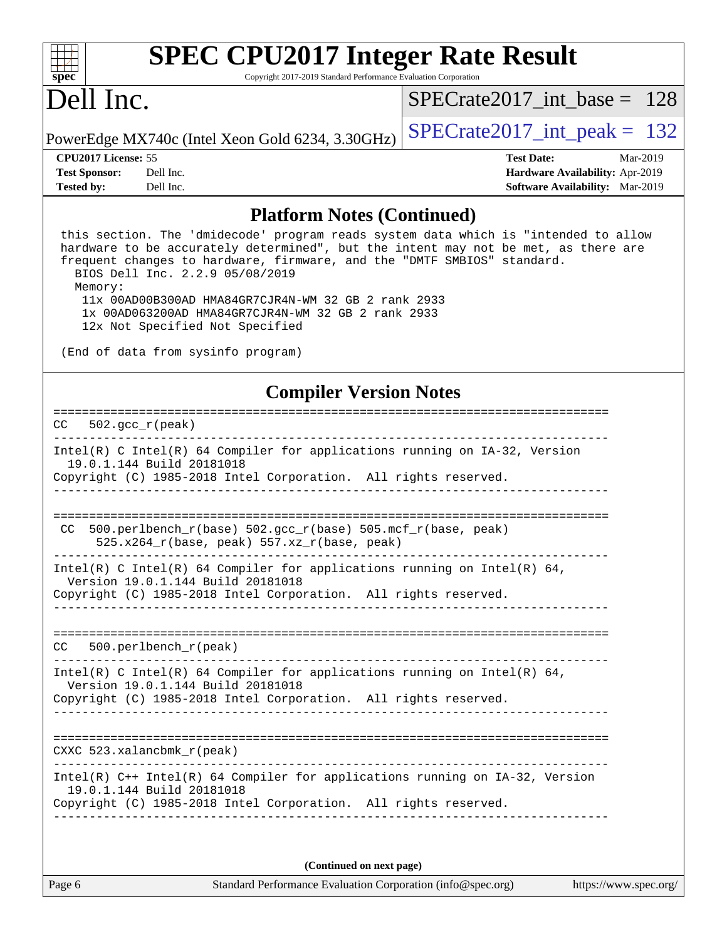| s<br>E<br>n<br>¢<br>÷, |  |  |  |  |  |
|------------------------|--|--|--|--|--|

# **[SPEC CPU2017 Integer Rate Result](http://www.spec.org/auto/cpu2017/Docs/result-fields.html#SPECCPU2017IntegerRateResult)**

Copyright 2017-2019 Standard Performance Evaluation Corporation

## Dell Inc.

[SPECrate2017\\_int\\_base =](http://www.spec.org/auto/cpu2017/Docs/result-fields.html#SPECrate2017intbase) 128

PowerEdge MX740c (Intel Xeon Gold 6234, 3.30GHz)  $\left|$  [SPECrate2017\\_int\\_peak =](http://www.spec.org/auto/cpu2017/Docs/result-fields.html#SPECrate2017intpeak) 132

**[Tested by:](http://www.spec.org/auto/cpu2017/Docs/result-fields.html#Testedby)** Dell Inc. **[Software Availability:](http://www.spec.org/auto/cpu2017/Docs/result-fields.html#SoftwareAvailability)** Mar-2019

**[CPU2017 License:](http://www.spec.org/auto/cpu2017/Docs/result-fields.html#CPU2017License)** 55 **[Test Date:](http://www.spec.org/auto/cpu2017/Docs/result-fields.html#TestDate)** Mar-2019 **[Test Sponsor:](http://www.spec.org/auto/cpu2017/Docs/result-fields.html#TestSponsor)** Dell Inc. **[Hardware Availability:](http://www.spec.org/auto/cpu2017/Docs/result-fields.html#HardwareAvailability)** Apr-2019

#### **[Platform Notes \(Continued\)](http://www.spec.org/auto/cpu2017/Docs/result-fields.html#PlatformNotes)**

 this section. The 'dmidecode' program reads system data which is "intended to allow hardware to be accurately determined", but the intent may not be met, as there are frequent changes to hardware, firmware, and the "DMTF SMBIOS" standard. BIOS Dell Inc. 2.2.9 05/08/2019 Memory: 11x 00AD00B300AD HMA84GR7CJR4N-WM 32 GB 2 rank 2933 1x 00AD063200AD HMA84GR7CJR4N-WM 32 GB 2 rank 2933

12x Not Specified Not Specified

(End of data from sysinfo program)

#### **[Compiler Version Notes](http://www.spec.org/auto/cpu2017/Docs/result-fields.html#CompilerVersionNotes)**

| $502 \text{ qcc } r(\text{peak})$<br>CC.                                                                                                                                                                                          |
|-----------------------------------------------------------------------------------------------------------------------------------------------------------------------------------------------------------------------------------|
| Intel(R) C Intel(R) 64 Compiler for applications running on IA-32, Version<br>19.0.1.144 Build 20181018<br>Copyright (C) 1985-2018 Intel Corporation. All rights reserved.                                                        |
| 500.perlbench $r(base)$ 502.qcc $r(base)$ 505.mcf $r(base, peak)$<br>CC.                                                                                                                                                          |
| $525.x264_r(base, peak) 557.xz_r(base, peak)$<br>Intel(R) C Intel(R) 64 Compiler for applications running on Intel(R) 64,<br>Version 19.0.1.144 Build 20181018<br>Copyright (C) 1985-2018 Intel Corporation. All rights reserved. |
| $500.$ perlbench $r$ (peak)<br>CC.                                                                                                                                                                                                |
| Intel(R) C Intel(R) 64 Compiler for applications running on Intel(R) 64,<br>Version 19.0.1.144 Build 20181018<br>Copyright (C) 1985-2018 Intel Corporation. All rights reserved.                                                  |
| CXXC $523.$ xalancbmk $r$ (peak)                                                                                                                                                                                                  |
| $Intel(R)$ C++ Intel(R) 64 Compiler for applications running on IA-32, Version<br>19.0.1.144 Build 20181018<br>Copyright (C) 1985-2018 Intel Corporation. All rights reserved.                                                    |
|                                                                                                                                                                                                                                   |

**(Continued on next page)**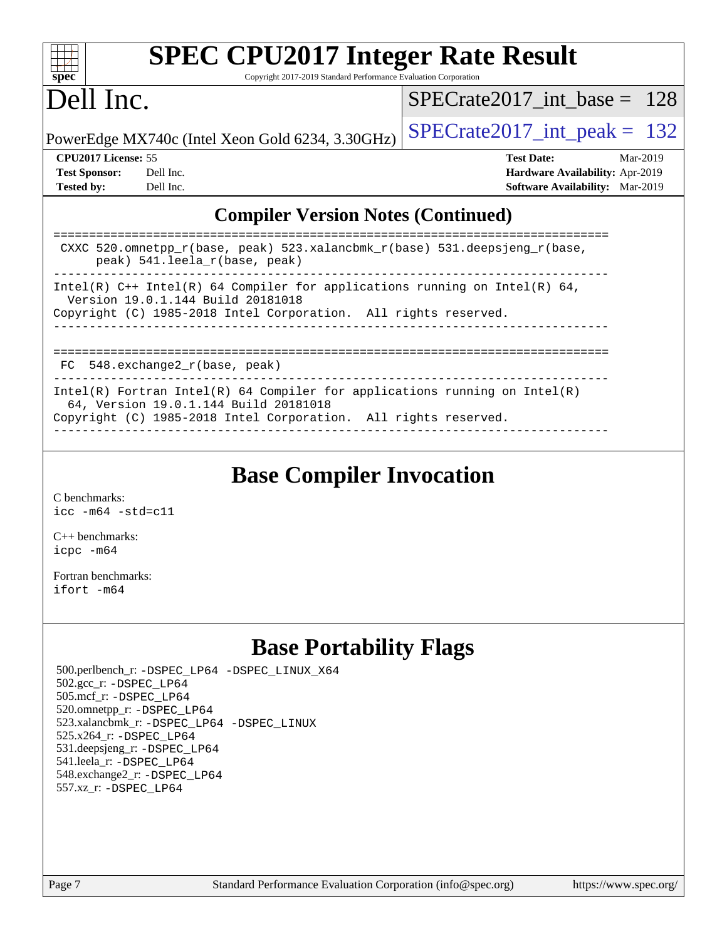| S<br>æ<br>I)<br>C |  |  |  |  |
|-------------------|--|--|--|--|

# **[SPEC CPU2017 Integer Rate Result](http://www.spec.org/auto/cpu2017/Docs/result-fields.html#SPECCPU2017IntegerRateResult)**

Copyright 2017-2019 Standard Performance Evaluation Corporation

## Dell Inc.

[SPECrate2017\\_int\\_base =](http://www.spec.org/auto/cpu2017/Docs/result-fields.html#SPECrate2017intbase) 128

PowerEdge MX740c (Intel Xeon Gold 6234, 3.30GHz)  $\left|$  [SPECrate2017\\_int\\_peak =](http://www.spec.org/auto/cpu2017/Docs/result-fields.html#SPECrate2017intpeak) 132

**[CPU2017 License:](http://www.spec.org/auto/cpu2017/Docs/result-fields.html#CPU2017License)** 55 **[Test Date:](http://www.spec.org/auto/cpu2017/Docs/result-fields.html#TestDate)** Mar-2019 **[Test Sponsor:](http://www.spec.org/auto/cpu2017/Docs/result-fields.html#TestSponsor)** Dell Inc. **[Hardware Availability:](http://www.spec.org/auto/cpu2017/Docs/result-fields.html#HardwareAvailability)** Apr-2019 **[Tested by:](http://www.spec.org/auto/cpu2017/Docs/result-fields.html#Testedby)** Dell Inc. **[Software Availability:](http://www.spec.org/auto/cpu2017/Docs/result-fields.html#SoftwareAvailability)** Mar-2019

### **[Compiler Version Notes \(Continued\)](http://www.spec.org/auto/cpu2017/Docs/result-fields.html#CompilerVersionNotes)**

| CXXC 520.omnetpp_r(base, peak) 523.xalancbmk_r(base) 531.deepsjeng_r(base,<br>peak) 541. leela r(base, peak)                                                                           |
|----------------------------------------------------------------------------------------------------------------------------------------------------------------------------------------|
| Intel(R) $C++$ Intel(R) 64 Compiler for applications running on Intel(R) 64,<br>Version 19.0.1.144 Build 20181018<br>Copyright (C) 1985-2018 Intel Corporation. All rights reserved.   |
| $FC$ 548. exchange2 $r(base, peak)$                                                                                                                                                    |
| Intel(R) Fortran Intel(R) 64 Compiler for applications running on Intel(R)<br>64, Version 19.0.1.144 Build 20181018<br>Copyright (C) 1985-2018 Intel Corporation. All rights reserved. |

**[Base Compiler Invocation](http://www.spec.org/auto/cpu2017/Docs/result-fields.html#BaseCompilerInvocation)**

[C benchmarks](http://www.spec.org/auto/cpu2017/Docs/result-fields.html#Cbenchmarks): [icc -m64 -std=c11](http://www.spec.org/cpu2017/results/res2019q3/cpu2017-20190624-15379.flags.html#user_CCbase_intel_icc_64bit_c11_33ee0cdaae7deeeab2a9725423ba97205ce30f63b9926c2519791662299b76a0318f32ddfffdc46587804de3178b4f9328c46fa7c2b0cd779d7a61945c91cd35)

[C++ benchmarks:](http://www.spec.org/auto/cpu2017/Docs/result-fields.html#CXXbenchmarks) [icpc -m64](http://www.spec.org/cpu2017/results/res2019q3/cpu2017-20190624-15379.flags.html#user_CXXbase_intel_icpc_64bit_4ecb2543ae3f1412ef961e0650ca070fec7b7afdcd6ed48761b84423119d1bf6bdf5cad15b44d48e7256388bc77273b966e5eb805aefd121eb22e9299b2ec9d9)

[Fortran benchmarks](http://www.spec.org/auto/cpu2017/Docs/result-fields.html#Fortranbenchmarks): [ifort -m64](http://www.spec.org/cpu2017/results/res2019q3/cpu2017-20190624-15379.flags.html#user_FCbase_intel_ifort_64bit_24f2bb282fbaeffd6157abe4f878425411749daecae9a33200eee2bee2fe76f3b89351d69a8130dd5949958ce389cf37ff59a95e7a40d588e8d3a57e0c3fd751)

### **[Base Portability Flags](http://www.spec.org/auto/cpu2017/Docs/result-fields.html#BasePortabilityFlags)**

 500.perlbench\_r: [-DSPEC\\_LP64](http://www.spec.org/cpu2017/results/res2019q3/cpu2017-20190624-15379.flags.html#b500.perlbench_r_basePORTABILITY_DSPEC_LP64) [-DSPEC\\_LINUX\\_X64](http://www.spec.org/cpu2017/results/res2019q3/cpu2017-20190624-15379.flags.html#b500.perlbench_r_baseCPORTABILITY_DSPEC_LINUX_X64) 502.gcc\_r: [-DSPEC\\_LP64](http://www.spec.org/cpu2017/results/res2019q3/cpu2017-20190624-15379.flags.html#suite_basePORTABILITY502_gcc_r_DSPEC_LP64) 505.mcf\_r: [-DSPEC\\_LP64](http://www.spec.org/cpu2017/results/res2019q3/cpu2017-20190624-15379.flags.html#suite_basePORTABILITY505_mcf_r_DSPEC_LP64) 520.omnetpp\_r: [-DSPEC\\_LP64](http://www.spec.org/cpu2017/results/res2019q3/cpu2017-20190624-15379.flags.html#suite_basePORTABILITY520_omnetpp_r_DSPEC_LP64) 523.xalancbmk\_r: [-DSPEC\\_LP64](http://www.spec.org/cpu2017/results/res2019q3/cpu2017-20190624-15379.flags.html#suite_basePORTABILITY523_xalancbmk_r_DSPEC_LP64) [-DSPEC\\_LINUX](http://www.spec.org/cpu2017/results/res2019q3/cpu2017-20190624-15379.flags.html#b523.xalancbmk_r_baseCXXPORTABILITY_DSPEC_LINUX) 525.x264\_r: [-DSPEC\\_LP64](http://www.spec.org/cpu2017/results/res2019q3/cpu2017-20190624-15379.flags.html#suite_basePORTABILITY525_x264_r_DSPEC_LP64) 531.deepsjeng\_r: [-DSPEC\\_LP64](http://www.spec.org/cpu2017/results/res2019q3/cpu2017-20190624-15379.flags.html#suite_basePORTABILITY531_deepsjeng_r_DSPEC_LP64) 541.leela\_r: [-DSPEC\\_LP64](http://www.spec.org/cpu2017/results/res2019q3/cpu2017-20190624-15379.flags.html#suite_basePORTABILITY541_leela_r_DSPEC_LP64) 548.exchange2\_r: [-DSPEC\\_LP64](http://www.spec.org/cpu2017/results/res2019q3/cpu2017-20190624-15379.flags.html#suite_basePORTABILITY548_exchange2_r_DSPEC_LP64) 557.xz\_r: [-DSPEC\\_LP64](http://www.spec.org/cpu2017/results/res2019q3/cpu2017-20190624-15379.flags.html#suite_basePORTABILITY557_xz_r_DSPEC_LP64)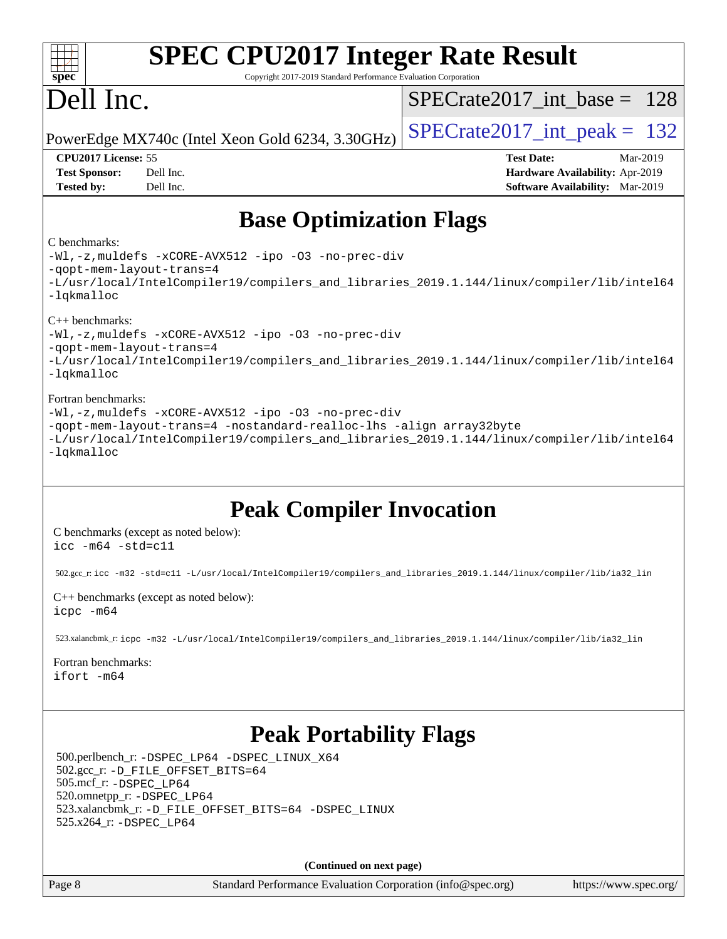| $spec^*$                                                                        | <b>SPEC CPU2017 Integer Rate Result</b><br>Copyright 2017-2019 Standard Performance Evaluation Corporation                                                                                                                                                                                                                                                                |                                                                                                            |
|---------------------------------------------------------------------------------|---------------------------------------------------------------------------------------------------------------------------------------------------------------------------------------------------------------------------------------------------------------------------------------------------------------------------------------------------------------------------|------------------------------------------------------------------------------------------------------------|
| Dell Inc.                                                                       |                                                                                                                                                                                                                                                                                                                                                                           | $SPECrate2017\_int\_base = 128$                                                                            |
|                                                                                 | PowerEdge MX740c (Intel Xeon Gold 6234, 3.30GHz)                                                                                                                                                                                                                                                                                                                          | $SPECrate2017\_int\_peak = 132$                                                                            |
| CPU2017 License: 55<br><b>Test Sponsor:</b><br><b>Tested by:</b>                | Dell Inc.<br>Dell Inc.                                                                                                                                                                                                                                                                                                                                                    | <b>Test Date:</b><br>Mar-2019<br>Hardware Availability: Apr-2019<br><b>Software Availability:</b> Mar-2019 |
|                                                                                 | <b>Base Optimization Flags</b>                                                                                                                                                                                                                                                                                                                                            |                                                                                                            |
| C benchmarks:<br>-qopt-mem-layout-trans=4<br>-lqkmalloc                         | -Wl,-z, muldefs -xCORE-AVX512 -ipo -03 -no-prec-div                                                                                                                                                                                                                                                                                                                       | -L/usr/local/IntelCompiler19/compilers_and_libraries_2019.1.144/linux/compiler/lib/intel64                 |
| $C++$ benchmarks:<br>-gopt-mem-layout-trans=4<br>-lqkmalloc                     | -Wl,-z, muldefs -xCORE-AVX512 -ipo -03 -no-prec-div                                                                                                                                                                                                                                                                                                                       | -L/usr/local/IntelCompiler19/compilers_and_libraries_2019.1.144/linux/compiler/lib/intel64                 |
| Fortran benchmarks:<br>-lqkmalloc                                               | -Wl,-z, muldefs -xCORE-AVX512 -ipo -03 -no-prec-div<br>-qopt-mem-layout-trans=4 -nostandard-realloc-lhs -align array32byte                                                                                                                                                                                                                                                | -L/usr/local/IntelCompiler19/compilers_and_libraries_2019.1.144/linux/compiler/lib/intel64                 |
| $\text{icc -m64 -std=cl1}$<br>icpc -m64<br>Fortran benchmarks:<br>ifort -m64    | <b>Peak Compiler Invocation</b><br>C benchmarks (except as noted below):<br>502.gcc_r:icc -m32 -std=c11 -L/usr/local/IntelCompiler19/compilers_and_libraries_2019.1.144/linux/compiler/lib/ia32_lin<br>$C++$ benchmarks (except as noted below):<br>523.xalancbmk_r:icpc -m32 -L/usr/local/IntelCompiler19/compilers_and_libraries_2019.1.144/linux/compiler/lib/ia32_lin |                                                                                                            |
| 505.mcf_r: -DSPEC_LP64<br>520.omnetpp_r: -DSPEC_LP64<br>525.x264_r: -DSPEC_LP64 | <b>Peak Portability Flags</b><br>500.perlbench_r: -DSPEC_LP64 -DSPEC_LINUX_X64<br>502.gcc_r: -D_FILE_OFFSET_BITS=64<br>523.xalancbmk_r: -D_FILE_OFFSET_BITS=64 -DSPEC_LINUX                                                                                                                                                                                               |                                                                                                            |
|                                                                                 | (Continued on next page)                                                                                                                                                                                                                                                                                                                                                  |                                                                                                            |
| Page 8                                                                          | Standard Performance Evaluation Corporation (info@spec.org)                                                                                                                                                                                                                                                                                                               | https://www.spec.org/                                                                                      |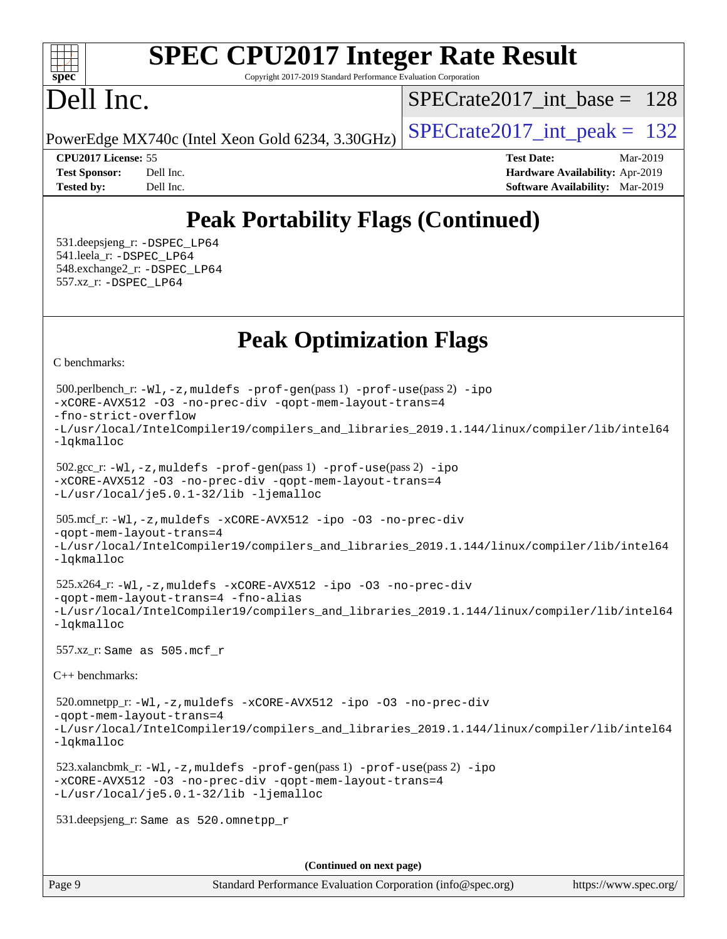#### $+\ +$ **[spec](http://www.spec.org/)**

# **[SPEC CPU2017 Integer Rate Result](http://www.spec.org/auto/cpu2017/Docs/result-fields.html#SPECCPU2017IntegerRateResult)**

Copyright 2017-2019 Standard Performance Evaluation Corporation

## Dell Inc.

[SPECrate2017\\_int\\_base =](http://www.spec.org/auto/cpu2017/Docs/result-fields.html#SPECrate2017intbase) 128

PowerEdge MX740c (Intel Xeon Gold 6234, 3.30GHz)  $\left|$  [SPECrate2017\\_int\\_peak =](http://www.spec.org/auto/cpu2017/Docs/result-fields.html#SPECrate2017intpeak) 132

**[CPU2017 License:](http://www.spec.org/auto/cpu2017/Docs/result-fields.html#CPU2017License)** 55 **[Test Date:](http://www.spec.org/auto/cpu2017/Docs/result-fields.html#TestDate)** Mar-2019 **[Test Sponsor:](http://www.spec.org/auto/cpu2017/Docs/result-fields.html#TestSponsor)** Dell Inc. **[Hardware Availability:](http://www.spec.org/auto/cpu2017/Docs/result-fields.html#HardwareAvailability)** Apr-2019 **[Tested by:](http://www.spec.org/auto/cpu2017/Docs/result-fields.html#Testedby)** Dell Inc. **[Software Availability:](http://www.spec.org/auto/cpu2017/Docs/result-fields.html#SoftwareAvailability)** Mar-2019

### **[Peak Portability Flags \(Continued\)](http://www.spec.org/auto/cpu2017/Docs/result-fields.html#PeakPortabilityFlags)**

 531.deepsjeng\_r: [-DSPEC\\_LP64](http://www.spec.org/cpu2017/results/res2019q3/cpu2017-20190624-15379.flags.html#suite_peakPORTABILITY531_deepsjeng_r_DSPEC_LP64) 541.leela\_r: [-DSPEC\\_LP64](http://www.spec.org/cpu2017/results/res2019q3/cpu2017-20190624-15379.flags.html#suite_peakPORTABILITY541_leela_r_DSPEC_LP64) 548.exchange2\_r: [-DSPEC\\_LP64](http://www.spec.org/cpu2017/results/res2019q3/cpu2017-20190624-15379.flags.html#suite_peakPORTABILITY548_exchange2_r_DSPEC_LP64) 557.xz\_r: [-DSPEC\\_LP64](http://www.spec.org/cpu2017/results/res2019q3/cpu2017-20190624-15379.flags.html#suite_peakPORTABILITY557_xz_r_DSPEC_LP64)

### **[Peak Optimization Flags](http://www.spec.org/auto/cpu2017/Docs/result-fields.html#PeakOptimizationFlags)**

[C benchmarks](http://www.spec.org/auto/cpu2017/Docs/result-fields.html#Cbenchmarks):

```
(info@spec.org)https://www.spec.org/
  500.perlbench_r: -Wl,-z,muldefs -prof-gen(pass 1) -prof-use(pass 2) -ipo
-xCORE-AVX512 -O3 -no-prec-div -qopt-mem-layout-trans=4
-fno-strict-overflow
-L/usr/local/IntelCompiler19/compilers_and_libraries_2019.1.144/linux/compiler/lib/intel64
-lqkmalloc
  502.gcc_r: -Wl,-z,muldefs -prof-gen(pass 1) -prof-use(pass 2) -ipo
-xCORE-AVX512 -O3 -no-prec-div -qopt-mem-layout-trans=4
-L/usr/local/je5.0.1-32/lib -ljemalloc
  505.mcf_r: -Wl,-z,muldefs -xCORE-AVX512 -ipo -O3 -no-prec-div
-qopt-mem-layout-trans=4
-L/usr/local/IntelCompiler19/compilers_and_libraries_2019.1.144/linux/compiler/lib/intel64
-lqkmalloc
  525.x264_r: -Wl,-z,muldefs -xCORE-AVX512 -ipo -O3 -no-prec-div
-qopt-mem-layout-trans=4 -fno-alias
-L/usr/local/IntelCompiler19/compilers_and_libraries_2019.1.144/linux/compiler/lib/intel64
-lqkmalloc
  557.xz_r: Same as 505.mcf_r
C++ benchmarks: 
  520.omnetpp_r: -Wl,-z,muldefs -xCORE-AVX512 -ipo -O3 -no-prec-div
-qopt-mem-layout-trans=4
-L/usr/local/IntelCompiler19/compilers_and_libraries_2019.1.144/linux/compiler/lib/intel64
-lqkmalloc
  523.xalancbmk_r: -Wl,-z,muldefs -prof-gen(pass 1) -prof-use(pass 2) -ipo
-xCORE-AVX512 -O3 -no-prec-div -qopt-mem-layout-trans=4
-L/usr/local/je5.0.1-32/lib -ljemalloc
  531.deepsjeng_r: Same as 520.omnetpp_r
                                     (Continued on next page)
```